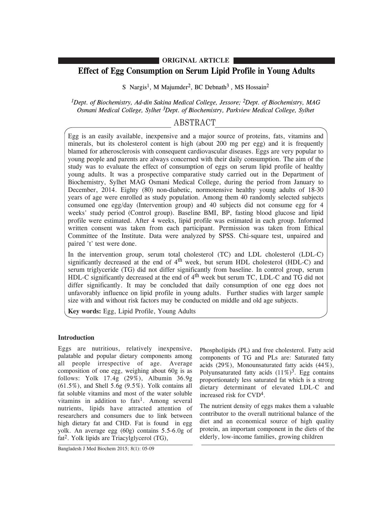## **ORIGINAL ARTICLE**

# **Effect of Egg Consumption on Serum Lipid Profile in Young Adults**

S Nargis<sup>1</sup>, M Majumder<sup>2</sup>, BC Debnath<sup>3</sup>, MS Hossain<sup>2</sup>

*1Dept. of Biochemistry, Ad-din Sakina Medical College, Jessore; 2Dept. of Biochemistry, MAG Osmani Medical College, Sylhet 3Dept. of Biochemistry, Parkview Medical College, Sylhet*

# ABSTRACT

Egg is an easily available, inexpensive and a major source of proteins, fats, vitamins and minerals, but its cholesterol content is high (about 200 mg per egg) and it is frequently blamed for atherosclerosis with consequent cardiovascular diseases. Eggs are very popular to young people and parents are always concerned with their daily consumption. The aim of the study was to evaluate the effect of consumption of eggs on serum lipid profile of healthy young adults. It was a prospective comparative study carried out in the Department of Biochemistry, Sylhet MAG Osmani Medical College, during the period from January to December, 2014. Eighty (80) non-diabetic, normotensive healthy young adults of 18-30 years of age were enrolled as study population. Among them 40 randomly selected subjects consumed one egg/day (Intervention group) and 40 subjects did not consume egg for 4 weeks' study period (Control group). Baseline BMI, BP, fasting blood glucose and lipid profile were estimated. After 4 weeks, lipid profile was estimated in each group. Informed written consent was taken from each participant. Permission was taken from Ethical Committee of the Institute. Data were analyzed by SPSS. Chi-square test, unpaired and paired 't' test were done.

In the intervention group, serum total cholesterol (TC) and LDL cholesterol (LDL-C) significantly decreased at the end of  $4<sup>th</sup>$  week, but serum HDL cholesterol (HDL-C) and serum triglyceride (TG) did not differ significantly from baseline. In control group, serum HDL-C significantly decreased at the end of 4<sup>th</sup> week but serum TC, LDL-C and TG did not differ significantly. It may be concluded that daily consumption of one egg does not unfavorably influence on lipid profile in young adults. Further studies with larger sample size with and without risk factors may be conducted on middle and old age subjects.

**Key words:** Egg, Lipid Profile, Young Adults

## **Introduction**

Eggs are nutritious, relatively inexpensive, palatable and popular dietary components among all people irrespective of age. Average composition of one egg, weighing about 60g is as follows: Yolk 17.4g (29%), Albumin 36.9g  $(61.5\%)$ , and Shell  $5.6g$   $(9.5\%)$ . Yolk contains all fat soluble vitamins and most of the water soluble vitamins in addition to fats<sup>1</sup>. Among several nutrients, lipids have attracted attention of researchers and consumers due to link between high dietary fat and CHD. Fat is found in egg yolk. An average egg (60g) contains 5.5-6.0g of fat 2. Yolk lipids are Triacylglycerol (TG),

Phospholipids (PL) and free cholesterol. Fatty acid components of TG and PLs are: Saturated fatty acids (29%), Monounsaturated fatty acids (44%), Polyunsaturated fatty acids  $(11\%)^3$ . Egg contains proportionately less saturated fat which is a strong dietary determinant of elevated LDL-C and increased risk for CVD4.

The nutrient density of eggs makes them a valuable contributor to the overall nutritional balance of the diet and an economical source of high quality protein, an important component in the diets of the elderly, low-income families, growing children

Bangladesh J Med Biochem 2015; 8(1): 05-09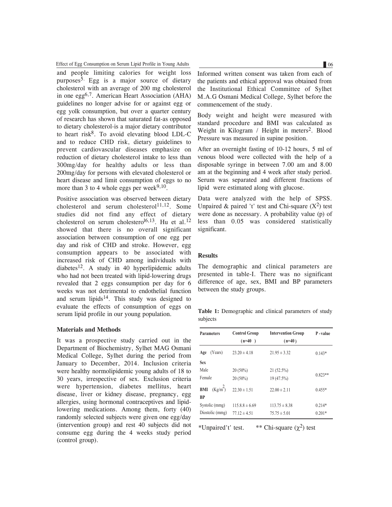Effect of Egg Consumption on Serum Lipid Profile in Young Adults 66 06

and people limiting calories for weight loss purposes<sup>5.</sup> Egg is a major source of dietary cholesterol with an average of 200 mg cholesterol in one egg6,7. American Heart Association (AHA) guidelines no longer advise for or against egg or egg yolk consumption, but over a quarter century of research has shown that saturated fat-as opposed to dietary cholesterol-is a major dietary contributor to heart risk<sup>8</sup>. To avoid elevating blood LDL-C and to reduce CHD risk, dietary guidelines to prevent cardiovascular diseases emphasize on reduction of dietary cholesterol intake to less than 300mg/day for healthy adults or less than 200mg/day for persons with elevated cholesterol or heart disease and limit consumption of eggs to no more than 3 to 4 whole eggs per week $9,10$ .

Positive association was observed between dietary cholesterol and serum cholesterol<sup>11,12</sup>. Some studies did not find any effect of dietary cholesterol on serum cholestero $^{16,13}$ . Hu et al.<sup>12</sup> showed that there is no overall significant association between consumption of one egg per day and risk of CHD and stroke. However, egg consumption appears to be associated with increased risk of CHD among individuals with diabetes<sup>12</sup>. A study in 40 hyperlipidemic adults who had not been treated with lipid-lowering drugs revealed that 2 eggs consumption per day for 6 weeks was not detrimental to endothelial function and serum lipids $14$ . This study was designed to evaluate the effects of consumption of eggs on serum lipid profile in our young population.

#### **Materials and Methods**

It was a prospective study carried out in the Department of Biochemistry, Sylhet MAG Osmani Medical College, Sylhet during the period from January to December, 2014. Inclusion criteria were healthy normolipidemic young adults of 18 to 30 years, irrespective of sex. Exclusion criteria were hypertension, diabetes mellitus, heart disease, liver or kidney disease, pregnancy, egg allergies, using hormonal contraceptives and lipidlowering medications. Among them, forty (40) randomly selected subjects were given one egg/day (intervention group) and rest 40 subjects did not consume egg during the 4 weeks study period (control group).

Informed written consent was taken from each of the patients and ethical approval was obtained from the Institutional Ethical Committee of Sylhet M.A.G Osmani Medical College, Sylhet before the commencement of the study.

Body weight and height were measured with standard procedure and BMI was calculated as Weight in Kilogram / Height in meters<sup>2</sup>. Blood Pressure was measured in supine position.

After an overnight fasting of 10-12 hours, 5 ml of venous blood were collected with the help of a disposable syringe in between 7.00 am and 8.00 am at the beginning and 4 week after study period. Serum was separated and different fractions of lipid were estimated along with glucose.

Data were analyzed with the help of SPSS. Unpaired & paired 't' test and Chi-square  $(X^2)$  test were done as necessary. A probability value (p) of less than 0.05 was considered statistically significant.

### **Results**

The demographic and clinical parameters are presented in table-I. There was no significant difference of age, sex, BMI and BP parameters between the study groups.

**Table 1:** Demographic and clinical parameters of study subjects

| <b>Parameters</b>           | <b>Control Group</b><br>$(n=40)$ | <b>Intervention Group</b><br>$(n=40)$ | P-value   |
|-----------------------------|----------------------------------|---------------------------------------|-----------|
| (Years)<br>Age              | $23.20 \pm 4.18$                 | $21.95 \pm 3.32$                      | $0.143*$  |
| <b>Sex</b>                  |                                  |                                       |           |
| Male                        | $20(50\%)$                       | 21 (52.5%)                            |           |
| Female                      | $20(50\%)$                       | 19 (47.5%)                            | $0.823**$ |
| (Kg/m <sup>2</sup> )<br>BMI | $22.30 \pm 1.51$                 | $22.00 \pm 2.11$                      | $0.455*$  |
| <b>BP</b>                   |                                  |                                       |           |
| Systolic (mmg)              | $115.8.8 \pm 6.69$               | $113.75 \pm 8.38$                     | $0.214*$  |
| Diostolic (mmg)             | $77.12 \pm 4.51$                 | $75.75 \pm 5.01$                      | $0.201*$  |

\*Unpaired't' test. \*\* Chi-square  $(\chi^2)$  test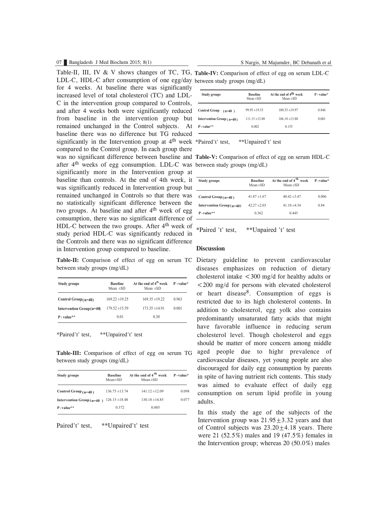### 07 Bangladesh J Med Biochem 2015; 8(1) S Nargis, M Majumder, BC Debanath et al

Table-II, III, IV & V shows changes of TC, TG, Table-IV: Comparison of effect of egg on serum LDL-C LDL-C, HDL-C after consumption of one egg/day between study groups (mg/dL) was no significant difference between baseline and Table-V: Comparison of effect of egg on serum HDL-C after 4<sup>th</sup> weeks of egg consumption. LDL-C was between study groups (mg/dL) for 4 weeks. At baseline there was significantly increased level of total cholesterol (TC) and LDL-C in the intervention group compared to Controls, and after 4 weeks both were significantly reduced from baseline in the intervention group but remained unchanged in the Control subjects. At baseline there was no difference but TG reduced significantly in the Intervention group at  $4<sup>th</sup>$  week \*Paired't' test, compared to the Control group. In each group there significantly more in the Intervention group at baseline than controls. At the end of 4th week, it was significantly reduced in Intervention group but remained unchanged in Controls so that there was no statistically significant difference between the two groups. At baseline and after  $4<sup>th</sup>$  week of egg consumption, there was no significant difference of HDL-C between the two groups. After 4<sup>th</sup> week of study period HDL-C was significantly reduced in the Controls and there was no significant difference in Intervention group compared to baseline.

between study groups (mg/dL)

| <b>Study groups</b>       | <b>Baseline</b><br>Mean $\pm SD$ | At the end of 4 <sup>th</sup> week<br>Mean $\pm SD$ | $P$ -value* |
|---------------------------|----------------------------------|-----------------------------------------------------|-------------|
| Control Group( $n=40$ )   | $169.22 \pm 19.25$               | $169.35 \pm 19.22$                                  | 0.963       |
| Intervention Group (n=40) | $179.52 \pm 15.59$               | $173.35 \pm 14.91$                                  | 0.001       |
| $P-value**$               | 0.01                             | 0.30                                                |             |

\*Paired't' test, \*\*Unpaired't' test

**Table-III:** Comparison of effect of egg on serum TG between study groups (mg/dL)

| Study groups                | <b>Baseline</b><br>$Mean \pm SD$ | At the end of 4 <sup>th</sup> week<br>$Mean \pm SD$ | $P-value*$ |
|-----------------------------|----------------------------------|-----------------------------------------------------|------------|
| Control Group $(n=40)$      | $136.75 \pm 13.74$               | $141.12 \pm 12.09$                                  | 0.098      |
| Intervention Group $(n=40)$ | $126.15 \pm 18.48$               | $130.18 \pm 14.85$                                  | 0.077      |
| $P-value**$                 | 0 3 7 2                          | 0.005                                               |            |

Paired't' test, \*\*Unpaired't' test

| Study groups                     | <b>Baseline</b><br>Mean $\pm$ SD | At the end of 4 <sup>th</sup> week<br>Mean $\pm$ SD | $P - value*$ |
|----------------------------------|----------------------------------|-----------------------------------------------------|--------------|
| <b>Control Group</b><br>$(n=40)$ | $99.95 \pm 19.33$                | $100.55 \pm 19.97$                                  | 0.846        |
| Intervention Group $(n=40)$      | $11115 \pm 1380$                 | $106.18 \pm 13.80$                                  | 0.001        |
| $P$ -value**                     | 0.002                            | 0.155                                               |              |

\*Paired't' test, \*\*Unpaired't' test

| Study groups               | <b>Baseline</b><br>$Mean \pm SD$ | At the end of 4 <sup>th</sup> week<br>$Mean \pm SD$ | $P-value*$ |
|----------------------------|----------------------------------|-----------------------------------------------------|------------|
| Control Group $(n=40)$     | 41 $87 \pm 1$ 67                 | $40.42 \pm 3.47$                                    | 0.006      |
| Intervention $Group(n=40)$ | 42 27 $\pm$ 2 03                 | 41 10 $\pm$ 4 34                                    | 0.84       |
| $P-value**$                | 0 362                            | 0.445                                               |            |

\*Paired 't' test, \*\*Unpaired 't' test

#### **Discussion**

Table-II: Comparison of effect of egg on serum TC Dietary guideline to prevent cardiovascular diseases emphasizes on reduction of dietary cholesterol intake  $\langle 300 \rangle$  mg/d for healthy adults or <200 mg/d for persons with elevated cholesterol or heart disease8. Consumption of eggs is restricted due to its high cholesterol contents. In addition to cholesterol, egg yolk also contains predominantly unsaturated fatty acids that might have favorable influence in reducing serum cholesterol level. Though cholesterol and eggs should be matter of more concern among middle aged people due to highr prevalence of cardiovascular diseases, yet young people are also discouraged for daily egg consumption by parents in spite of having nutrient rich contents. This study was aimed to evaluate effect of daily egg consumption on serum lipid profile in young adults.

> In this study the age of the subjects of the Intervention group was  $21.95+3.32$  years and that of Control subjects was  $23.20+4.18$  years. There were 21 (52.5%) males and 19 (47.5%) females in the Intervention group; whereas 20 (50.0%) males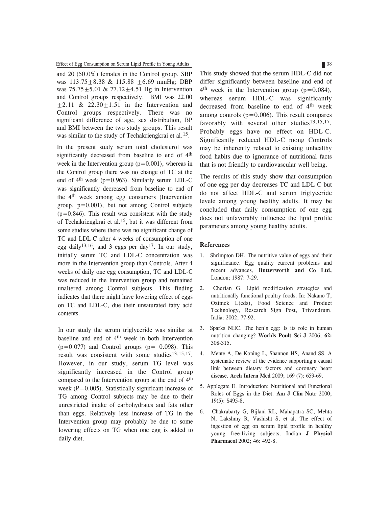Effect of Egg Consumption on Serum Lipid Profile in Young Adults 88 08

and 20 (50.0%) females in the Control group. SBP was 113.75 ± 8.38 & 115.88 ± 6.69 mmHg; DBP was  $75.75 \pm 5.01 \& 77.12 \pm 4.51$  Hg in Intervention and Control groups respectively. BMI was 22.00  $\pm 2.11$  &  $22.30 \pm 1.51$  in the Intervention and Control groups respectively. There was no significant difference of age, sex distribution, BP and BMI between the two study groups. This result was similar to the study of Techakriengkrai et al.<sup>15</sup>.

In the present study serum total cholesterol was significantly decreased from baseline to end of  $4<sup>th</sup>$ week in the Intervention group  $(p=0.001)$ , whereas in the Control group there was no change of TC at the end of  $4<sup>th</sup>$  week (p=0.963). Similarly serum LDL-C was significantly decreased from baseline to end of the 4<sup>th</sup> week among egg consumers (Intervention group,  $p=0.001$ ), but not among Control subjects  $(p=0.846)$ . This result was consistent with the study of Techakriengkrai et al.15, but it was different from some studies where there was no significant change of TC and LDL-C after 4 weeks of consumption of one egg daily<sup>13,16</sup>, and 3 eggs per day<sup>17</sup>. In our study, initially serum TC and LDL-C concentration was more in the Intervention group than Controls. After 4 weeks of daily one egg consumption, TC and LDL-C was reduced in the Intervention group and remained unaltered among Control subjects. This finding indicates that there might have lowering effect of eggs on TC and LDL-C, due their unsaturated fatty acid contents.

In our study the serum triglyceride was similar at baseline and end of 4th week in both Intervention  $(p=0.077)$  and Control groups  $(p= 0.098)$ . This result was consistent with some studies<sup>13,15,17</sup>. However, in our study, serum TG level was significantly increased in the Control group compared to the Intervention group at the end of 4<sup>th</sup> week  $(P=0.005)$ . Statistically significant increase of TG among Control subjects may be due to their unrestricted intake of carbohydrates and fats other than eggs. Relatively less increase of TG in the Intervention group may probably be due to some lowering effects on TG when one egg is added to daily diet.

This study showed that the serum HDL-C did not differ significantly between baseline and end of  $4<sup>th</sup>$  week in the Intervention group (p=0.084), whereas serum HDL-C was significantly decreased from baseline to end of 4<sup>th</sup> week among controls  $(p=0.006)$ . This result compares favorably with several other studies $13,15,17$ . Probably eggs have no effect on HDL-C. Significantly reduced HDL-C mong Controls may be inherently related to existing unhealthy food habits due to ignorance of nutritional facts that is not friendly to cardiovascular well being.

The results of this study show that consumption of one egg per day decreases TC and LDL-C but do not affect HDL-C and serum triglyceride levele among young healthy adults. It may be concluded that daily consumption of one egg does not unfavorably influence the lipid profile parameters among young healthy adults.

#### **References**

- 1. Shrimpton DH. The nutritive value of eggs and their significance. Egg quality current problems and recent advances, **Butterworth and Co Ltd,** London; 1987: 7-29.
- 2. Cherian G. Lipid modification strategies and nutritionally functional poultry foods. In: Nakano T, Ozimek L(eds), Food Science and Product Technology, Research Sign Post, Trivandrum, India: 2002; 77-92.
- 3. Sparks NHC. The hen's egg: Is its role in human nutrition changing? **Worlds Poult Sci J** 2006; **62:** 308-315.
- 4. Mente A, De Koning L, Shannon HS, Anand SS. A systematic review of the evidence supporting a causal link between dietary factors and coronary heart disease. **Arch Intern Med** 2009; 169 (7): 659-69.
- 5. Applegate E. Introduction: Nutritional and Functional Roles of Eggs in the Diet. **Am J Clin Nutr** 2000; 19(5): S495-8.
- 6. Chakrabarty G, Bijlani RL, Mahapatra SC, Mehta N, Lakshmy R, Vashisht S, et al. The effect of ingestion of egg on serum lipid profile in healthy young free-living subjects. Indian **J Physiol Pharmacol** 2002; 46: 492-8.